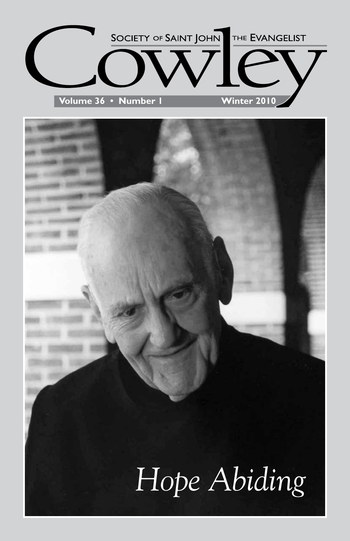

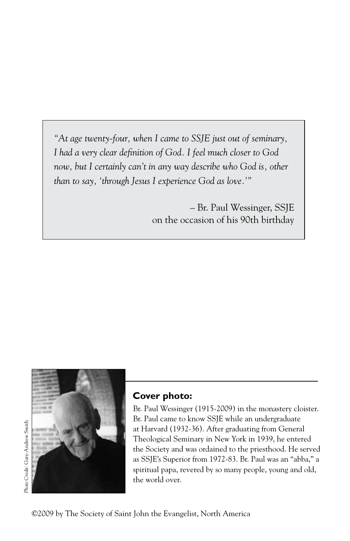*"At age twenty-four, when I came to SSJE just out of seminary, I had a very clear definition of God. I feel much closer to God*  now, but I certainly can't in any way describe who God is, other *than to say, 'through Jesus I experience God as love.'"*

> – Br. Paul Wessinger, SSJE on the occasion of his 90th birthday



### **Cover photo:**

Br. Paul Wessinger (1915-2009) in the monastery cloister. Br. Paul came to know SSJE while an undergraduate at Harvard (1932-36). After graduating from General Theological Seminary in New York in 1939, he entered the Society and was ordained to the priesthood. He served as SSJE's Superior from 1972-83. Br. Paul was an "abba," a spiritual papa, revered by so many people, young and old, the world over.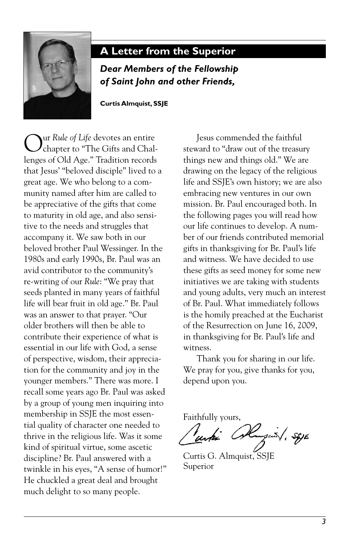

### **A Letter from the Superior**

*Dear Members of the Fellowship of Saint John and other Friends,*

**Curtis Almquist, SSJE**

ur *Rule of Life* devotes an entire chapter to "The Gifts and Challenges of Old Age." Tradition records that Jesus' "beloved disciple" lived to a great age. We who belong to a community named after him are called to be appreciative of the gifts that come to maturity in old age, and also sensitive to the needs and struggles that accompany it. We saw both in our beloved brother Paul Wessinger. In the 1980s and early 1990s, Br. Paul was an avid contributor to the community's re-writing of our *Rule*: "We pray that seeds planted in many years of faithful life will bear fruit in old age." Br. Paul was an answer to that prayer. "Our older brothers will then be able to contribute their experience of what is essential in our life with God, a sense of perspective, wisdom, their appreciation for the community and joy in the younger members." There was more. I recall some years ago Br. Paul was asked by a group of young men inquiring into membership in SSJE the most essential quality of character one needed to thrive in the religious life. Was it some kind of spiritual virtue, some ascetic discipline? Br. Paul answered with a twinkle in his eyes, "A sense of humor!" He chuckled a great deal and brought much delight to so many people.

 Jesus commended the faithful steward to "draw out of the treasury things new and things old." We are drawing on the legacy of the religious life and SSJE's own history; we are also embracing new ventures in our own mission. Br. Paul encouraged both. In the following pages you will read how our life continues to develop. A number of our friends contributed memorial gifts in thanksgiving for Br. Paul's life and witness. We have decided to use these gifts as seed money for some new initiatives we are taking with students and young adults, very much an interest of Br. Paul. What immediately follows is the homily preached at the Eucharist of the Resurrection on June 16, 2009, in thanksgiving for Br. Paul's life and witness.

 Thank you for sharing in our life. We pray for you, give thanks for you, depend upon you.

Faithfully yours,

-guš/, szyk

Curtis G. Almquist, SSJE Superior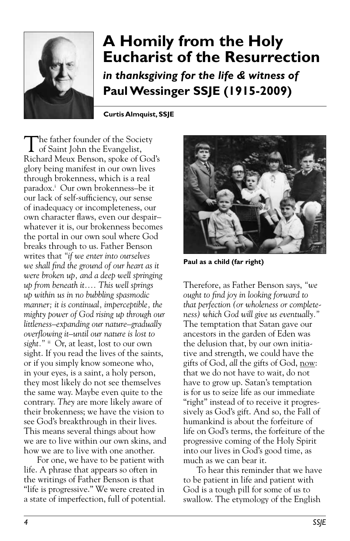

## **A Homily from the Holy Eucharist of the Resurrection**

*in thanksgiving for the life & witness of* **Paul Wessinger SSJE (1915-2009)**

**Curtis Almquist, SSJE**

The father founder of the Society of Saint John the Evangelist, Richard Meux Benson, spoke of God's glory being manifest in our own lives through brokenness, which is a real paradox.i Our own brokenness–be it our lack of self-sufficiency, our sense of inadequacy or incompleteness, our own character flaws, even our despair– whatever it is, our brokenness becomes the portal in our own soul where God breaks through to us. Father Benson writes that *"if we enter into ourselves we shall find the ground of our heart as it were broken up, and a deep well springing up from beneath it…. This well springs up within us in no bubbling spasmodic manner; it is continual, imperceptible, the mighty power of God rising up through our littleness–expanding our nature–gradually overflowing it–until our nature is lost to sight."* ii Or, at least, lost to our own sight. If you read the lives of the saints, or if you simply know someone who, in your eyes, is a saint, a holy person, they most likely do not see themselves the same way. Maybe even quite to the contrary. *They* are more likely aware of their brokenness; we have the vision to see God's breakthrough in their lives. This means several things about how we are to live within our own skins, and how we are to live with one another.

 For one, we have to be patient with life. A phrase that appears so often in the writings of Father Benson is that "life is progressive." We were created in a state of imperfection, full of potential.



**Paul as a child (far right)**

Therefore, as Father Benson says, *"we ought to find joy in looking forward to that perfection (or wholeness or completeness) which God will give us eventually."* The temptation that Satan gave our ancestors in the garden of Eden was the delusion that, by our own initiative and strength, we could have the gifts of God, *all* the gifts of God, now: that we do not have to wait, do not have to grow up. Satan's temptation is for us to seize life as our immediate "right" instead of to receive it progressively as God's gift. And so, the Fall of humankind is about the forfeiture of life on God's terms, the forfeiture of the progressive coming of the Holy Spirit into our lives in God's good time, as much as we can bear it.

 To hear this reminder that we have to be patient in life and patient with God is a tough pill for some of us to swallow. The etymology of the English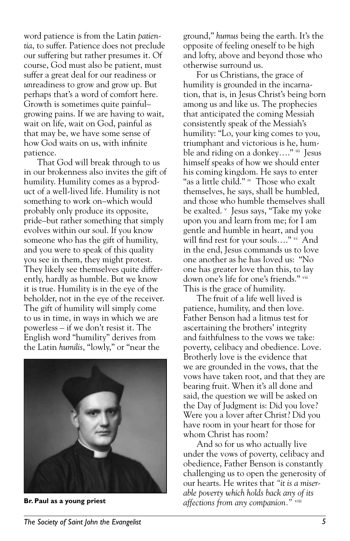word patience is from the Latin *patientia*, to suffer. Patience does not preclude our suffering but rather presumes it. Of course, God must also be patient, must suffer a great deal for our readiness or *un*readiness to grow and grow up. But perhaps that's a word of comfort here. Growth is sometimes quite painful– growing pains. If we are having to wait, wait on life, wait on God, painful as that may be, we have some sense of how God waits on us, with infinite patience.

 That God will break through to us in our brokenness also invites the gift of humility. Humility comes as a byproduct of a well-lived life. Humility is not something to work on–which would probably only produce its opposite, pride–but rather something that simply evolves within our soul. If you know someone who has the gift of humility, and you were to speak of this quality you see in them, they might protest. They likely see themselves quite differently, hardly as humble. But we know it is true. Humility is in the eye of the beholder, not in the eye of the receiver. The gift of humility will simply come to us in time, in ways in which we are powerless – if we don't resist it. The English word "humility" derives from the Latin *humilis*, "lowly," or "near the



ground," *humus* being the earth. It's the opposite of feeling oneself to be high and lofty, above and beyond those who otherwise surround us.

 For us Christians, the grace of humility is grounded in the incarnation, that is, in Jesus Christ's being born among us and like us. The prophecies that anticipated the coming Messiah consistently speak of the Messiah's humility: "Lo, your king comes to you, triumphant and victorious is he, humble and riding on a donkey…." iii Jesus himself speaks of how we should enter his coming kingdom. He says to enter "as a little child." iv Those who exalt themselves, he says, shall be humbled, and those who humble themselves shall be exalted. v Jesus says, "Take my yoke upon you and learn from me; for I am gentle and humble in heart, and you will find rest for your souls…." vi And in the end, Jesus commands us to love one another as he has loved us: "No one has greater love than this, to lay down one's life for one's friends." vii This is the grace of humility.

 The fruit of a life well lived is patience, humility, and then love. Father Benson had a litmus test for ascertaining the brothers' integrity and faithfulness to the vows we take: poverty, celibacy and obedience. Love. Brotherly love is the evidence that we are grounded in the vows, that the vows have taken root, and that they are bearing fruit. When it's all done and said, the question we will be asked on the Day of Judgment is: Did you love? Were you a lover after Christ? Did you have room in your heart for those for whom Christ has room?

 And so for us who actually live under the vows of poverty, celibacy and obedience, Father Benson is constantly challenging us to open the generosity of our hearts. He writes that *"it is a miserable poverty which holds back any of its*  **Br. Paul as a young priest** and a *affections from any companion.*" viii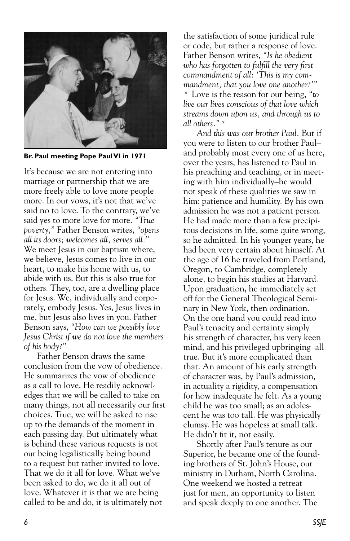

**Br. Paul meeting Pope Paul VI in 1971**

It's because we are not entering into marriage or partnership that we are more freely able to love more people more. In our vows, it's not that we've said no to love. To the contrary, we've said yes to more love for more. *"True poverty,"* Father Benson writes, *"opens all its doors; welcomes all, serves all."* We meet Jesus in our baptism where, we believe, Jesus comes to live in our heart, to make his home with us, to abide with us. But this is also true for others. They, too, are a dwelling place for Jesus. We, individually and corporately, embody Jesus. Yes, Jesus lives in me, but Jesus also lives in you. Father Benson says, *"How can we possibly love Jesus Christ if we do not love the members of his body?"*

 Father Benson draws the same conclusion from the vow of obedience. He summarizes the vow of obedience as a call to love. He readily acknowledges that we will be called to take on many things, not all necessarily our first choices. True, we will be asked to rise up to the demands of the moment in each passing day. But ultimately what is behind these various requests is not our being legalistically being bound to a request but rather invited to love. That we do it all for love. What we've been asked to do, we do it all out of love. Whatever it is that we are being called to be and do, it is ultimately not

the satisfaction of some juridical rule or code, but rather a response of love. Father Benson writes, *"Is he obedient who has forgotten to fulfill the very first commandment of all: 'This is my commandment, that you love one another?'"*  ix Love is the reason for our being, *"to live our lives conscious of that love which streams down upon us, and through us to all others."* <sup>x</sup> 

 *And this was our brother Paul.* But if you were to listen to our brother Paul– and probably most every one of us here, over the years, has listened to Paul in his preaching and teaching, or in meeting with him individually–he would not speak of these qualities we saw in him: patience and humility. By his own admission he was not a patient person. He had made more than a few precipitous decisions in life, some quite wrong, so he admitted. In his younger years, he had been very certain about himself. At the age of 16 he traveled from Portland, Oregon, to Cambridge, completely alone, to begin his studies at Harvard. Upon graduation, he immediately set off for the General Theological Seminary in New York, then ordination. On the one hand you could read into Paul's tenacity and certainty simply his strength of character, his very keen mind, and his privileged upbringing–all true. But it's more complicated than that. An amount of his early strength of character was, by Paul's admission, in actuality a rigidity, a compensation for how inadequate he felt. As a young child he was too small; as an adolescent he was too tall. He was physically clumsy. He was hopeless at small talk. He didn't fit it, not easily.

 Shortly after Paul's tenure as our Superior, he became one of the founding brothers of St. John's House, our ministry in Durham, North Carolina. One weekend we hosted a retreat just for men, an opportunity to listen and speak deeply to one another. The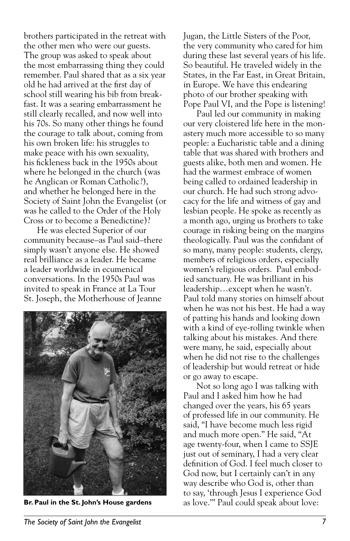brothers participated in the retreat with the other men who were our guests. The group was asked to speak about the most embarrassing thing they could remember. Paul shared that as a six year old he had arrived at the first day of school still wearing his bib from breakfast. It was a searing embarrassment he still clearly recalled, and now well into his 70s. So many other things he found the courage to talk about, coming from his own broken life: his struggles to make peace with his own sexuality, his fickleness back in the 1950s about where he belonged in the church (was he Anglican or Roman Catholic?), and whether he belonged here in the Society of Saint John the Evangelist (or was he called to the Order of the Holy Cross or to become a Benedictine)?

 He was elected Superior of our community because–as Paul said–there simply wasn't anyone else. He showed real brilliance as a leader. He became a leader worldwide in ecumenical conversations. In the 1950s Paul was invited to speak in France at La Tour St. Joseph, the Motherhouse of Jeanne



Jugan, the Little Sisters of the Poor, the very community who cared for him during these last several years of his life. So beautiful. He traveled widely in the States, in the Far East, in Great Britain, in Europe. We have this endearing photo of our brother speaking with Pope Paul VI, and the Pope is listening!

 Paul led our community in making our very cloistered life here in the monastery much more accessible to so many people: a Eucharistic table and a dining table that was shared with brothers and guests alike, both men and women. He had the warmest embrace of women being called to ordained leadership in our church. He had such strong advocacy for the life and witness of gay and lesbian people. He spoke as recently as a month ago, urging us brothers to take courage in risking being on the margins theologically. Paul was the confidant of so many, many people: students, clergy, members of religious orders, especially women's religious orders. Paul embodied sanctuary. He was brilliant in his leadership…except when he wasn't. Paul told many stories on himself about when he was not his best. He had a way of patting his hands and looking down with a kind of eye-rolling twinkle when talking about his mistakes. And there were many, he said, especially about when he did not rise to the challenges of leadership but would retreat or hide or go away to escape.

 Not so long ago I was talking with Paul and I asked him how he had changed over the years, his 65 years of professed life in our community. He said, "I have become much less rigid and much more open." He said, "At age twenty-four, when I came to SSJE just out of seminary, I had a very clear definition of God. I feel much closer to God now, but I certainly can't in any way describe who God is, other than to say, 'through Jesus I experience God **Br. Paul in the St. John's House gardens** as love." Paul could speak about love: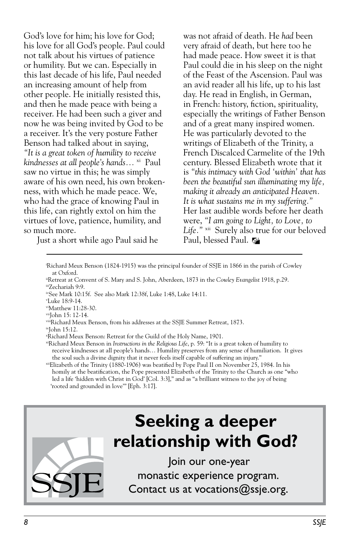God's love for him; his love for God; his love for all God's people. Paul could not talk about his virtues of patience or humility. But we can. Especially in this last decade of his life, Paul needed an increasing amount of help from other people. He initially resisted this, and then he made peace with being a receiver. He had been such a giver and now he was being invited by God to be a receiver. It's the very posture Father Benson had talked about in saying, *"It is a great token of humility to receive kindnesses at all people's hands…* xi Paul saw no virtue in this; he was simply aware of his own need, his own brokenness, with which he made peace. We, who had the grace of knowing Paul in this life, can rightly extol on him the virtues of love, patience, humility, and so much more.

was not afraid of death. He *had* been very afraid of death, but here too he had made peace. How sweet it is that Paul could die in his sleep on the night of the Feast of the Ascension. Paul was an avid reader all his life, up to his last day. He read in English, in German, in French: history, fiction, spirituality, especially the writings of Father Benson and of a great many inspired women. He was particularly devoted to the writings of Elizabeth of the Trinity, a French Discalced Carmelite of the 19th century. Blessed Elizabeth wrote that it is *"this intimacy with God 'within' that has been the beautiful sun illuminating my life, making it already an anticipated Heaven. It is what sustains me in my suffering."* Her last audible words before her death were, *"I am going to Light, to Love, to Life."* xiiSurely also true for our beloved Paul, blessed Paul.

Just a short while ago Paul said he

i Richard Meux Benson (1824-1915) was the principal founder of SSJE in 1866 in the parish of Cowley at Oxford.

- iiRetreat at Convent of S. Mary and S. John, Aberdeen, 1873 in the *Cowley Evangelist* 1918, p.29. iiiZechariah 9:9.
- ivSee Mark 10:15f. See also Mark 12:38f, Luke 1:48, Luke 14:11.
- v Luke 18:9-14.
- viMatthew 11:28-30.
- viiJohn 15: 12-14.
- viiiRichard Meux Benson, from his addresses at the SSJE Summer Retreat, 1873.
- ixJohn 15:12.
- x Richard Meux Benson: Retreat for the Guild of the Holy Name, 1901.
- xiRichard Meux Benson in *Instructions in the Religious Life*, p. 59: "It is a great token of humility to receive kindnesses at all people's hands… Humility preserves from any sense of humiliation. It gives the soul such a divine dignity that it never feels itself capable of suffering an injury."
- xiiElizabeth of the Trinity (1880-1906) was beatified by Pope Paul II on November 25, 1984. In his homily at the beatification, the Pope presented Elizabeth of the Trinity to the Church as one "who led a life 'hidden with Christ in God' [Col. 3:3]," and as "a brilliant witness to the joy of being 'rooted and grounded in love'" [Eph. 3:17].



# **Seeking a deeper relationship with God?**

Join our one-year monastic experience program. Contact us at vocations@ssje.org.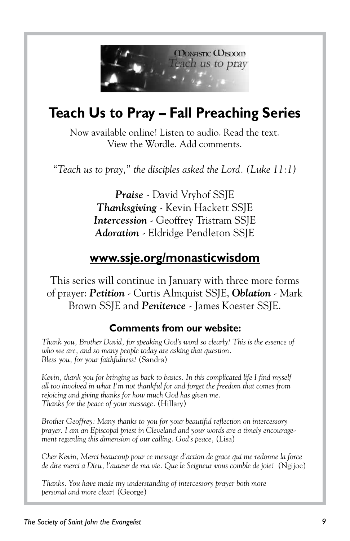

# **Teach Us to Pray – Fall Preaching Series**

Now available online! Listen to audio. Read the text. View the Wordle. Add comments.

*"Teach us to pray," the disciples asked the Lord. (Luke 11:1)*

*Praise* - David Vryhof SSJE *Thanksgiving* - Kevin Hackett SSJE *Intercession* - Geoffrey Tristram SSJE *Adoration* - Eldridge Pendleton SSJE

### **www.ssje.org/monasticwisdom**

This series will continue in January with three more forms of prayer: *Petition* - Curtis Almquist SSJE, *Oblation* - Mark Brown SSJE and *Penitence* - James Koester SSJE.

### **Comments from our website:**

*Thank you, Brother David, for speaking God's word so clearly! This is the essence of who we are, and so many people today are asking that question. Bless you, for your faithfulness!* (Sandra)

*Kevin, thank you for bringing us back to basics. In this complicated life I find myself all too involved in what I'm not thankful for and forget the freedom that comes from rejoicing and giving thanks for how much God has given me. Thanks for the peace of your message.* (Hillary)

*Brother Geoffrey: Many thanks to you for your beautiful reflection on intercessory prayer. I am an Episcopal priest in Cleveland and your words are a timely encouragement regarding this dimension of our calling. God's peace,* (Lisa)

*Cher Kevin, Merci beaucoup pour ce message d'action de grace qui me redonne la force de dire merci a Dieu, l'auteur de ma vie. Que le Seigneur vous comble de joie!* (Ngijoe)

*Thanks. You have made my understanding of intercessory prayer both more personal and more clear!* (George)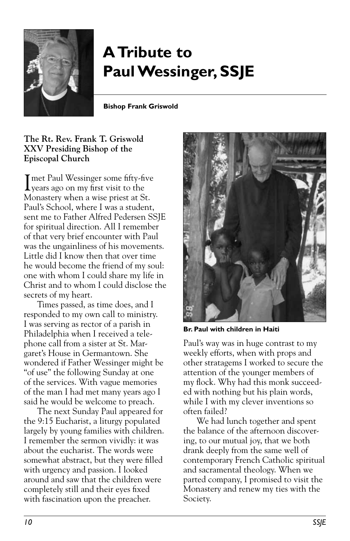

# **A Tribute to Paul Wessinger, SSJE**

#### **Bishop Frank Griswold**

#### **The Rt. Rev. Frank T. Griswold XXV Presiding Bishop of the Episcopal Church**

I met Paul Wessinger some fifty-five **L**years ago on my first visit to the Monastery when a wise priest at St. Paul's School, where I was a student, sent me to Father Alfred Pedersen SSJE for spiritual direction. All I remember of that very brief encounter with Paul was the ungainliness of his movements. Little did I know then that over time he would become the friend of my soul: one with whom I could share my life in Christ and to whom I could disclose the secrets of my heart.

 Times passed, as time does, and I responded to my own call to ministry. I was serving as rector of a parish in Philadelphia when I received a telephone call from a sister at St. Margaret's House in Germantown. She wondered if Father Wessinger might be "of use" the following Sunday at one of the services. With vague memories of the man I had met many years ago I said he would be welcome to preach.

 The next Sunday Paul appeared for the 9:15 Eucharist, a liturgy populated largely by young families with children. I remember the sermon vividly: it was about the eucharist. The words were somewhat abstract, but they were filled with urgency and passion. I looked around and saw that the children were completely still and their eyes fixed with fascination upon the preacher.



**Br. Paul with children in Haiti**

Paul's way was in huge contrast to my weekly efforts, when with props and other stratagems I worked to secure the attention of the younger members of my flock. Why had this monk succeeded with nothing but his plain words, while I with my clever inventions so often failed?

 We had lunch together and spent the balance of the afternoon discovering, to our mutual joy, that we both drank deeply from the same well of contemporary French Catholic spiritual and sacramental theology. When we parted company, I promised to visit the Monastery and renew my ties with the Society.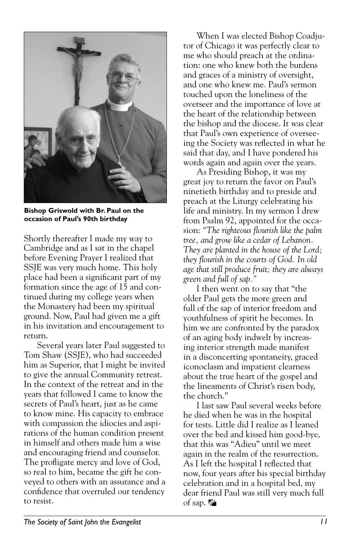

**Bishop Griswold with Br. Paul on the occasion of Paul's 90th birthday**

Shortly thereafter I made my way to Cambridge and as I sat in the chapel before Evening Prayer I realized that SSJE was very much home. This holy place had been a significant part of my formation since the age of 15 and continued during my college years when the Monastery had been my spiritual ground. Now, Paul had given me a gift in his invitation and encouragement to return.

 Several years later Paul suggested to Tom Shaw (SSJE), who had succeeded him as Superior, that I might be invited to give the annual Community retreat. In the context of the retreat and in the years that followed I came to know the secrets of Paul's heart, just as he came to know mine. His capacity to embrace with compassion the idiocies and aspirations of the human condition present in himself and others made him a wise and encouraging friend and counselor. The profligate mercy and love of God, so real to him, became the gift he conveyed to others with an assurance and a confidence that overruled our tendency to resist.

 When I was elected Bishop Coadjutor of Chicago it was perfectly clear to me who should preach at the ordination: one who knew both the burdens and graces of a ministry of oversight, and one who knew me. Paul's sermon touched upon the loneliness of the overseer and the importance of love at the heart of the relationship between the bishop and the diocese. It was clear that Paul's own experience of overseeing the Society was reflected in what he said that day, and I have pondered his words again and again over the years.

 As Presiding Bishop, it was my great joy to return the favor on Paul's ninetieth birthday and to preside and preach at the Liturgy celebrating his life and ministry. In my sermon I drew from Psalm 92, appointed for the occasion: *"The righteous flourish like the palm tree, and grow like a cedar of Lebanon. They are planted in the house of the Lord; they flourish in the courts of God. In old age that still produce fruit; they are always green and full of sap."* 

 I then went on to say that "the older Paul gets the more green and full of the sap of interior freedom and youthfulness of spirit he becomes. In him we are confronted by the paradox of an aging body indwelt by increasing interior strength made manifest in a disconcerting spontaneity, graced iconoclasm and impatient clearness about the true heart of the gospel and the lineaments of Christ's risen body, the church."

 I last saw Paul several weeks before he died when he was in the hospital for tests. Little did I realize as I leaned over the bed and kissed him good-bye, that this was "Adieu" until we meet again in the realm of the resurrection. As I left the hospital I reflected that now, four years after his special birthday celebration and in a hospital bed, my dear friend Paul was still very much full of sap.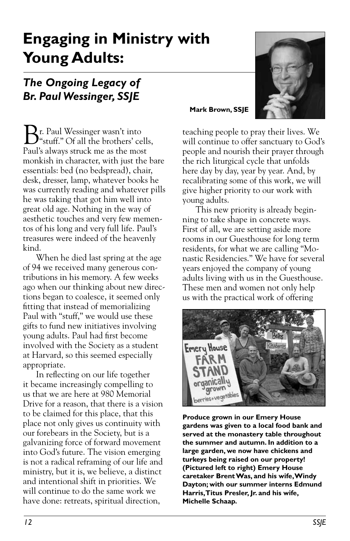# **Engaging in Ministry with Young Adults:**

### *The Ongoing Legacy of Br. Paul Wessinger, SSJE*

 $\mathbf 2$ r. Paul Wessinger wasn't into  $\mathcal{F}^{\prime}$ stuff." Of all the brothers' cells, Paul's always struck me as the most monkish in character, with just the bare essentials: bed (no bedspread), chair, desk, dresser, lamp, whatever books he was currently reading and whatever pills he was taking that got him well into great old age. Nothing in the way of aesthetic touches and very few mementos of his long and very full life. Paul's treasures were indeed of the heavenly kind.

 When he died last spring at the age of 94 we received many generous contributions in his memory. A few weeks ago when our thinking about new directions began to coalesce, it seemed only fitting that instead of memorializing Paul with "stuff," we would use these gifts to fund new initiatives involving young adults. Paul had first become involved with the Society as a student at Harvard, so this seemed especially appropriate.

 In reflecting on our life together it became increasingly compelling to us that we are here at 980 Memorial Drive for a reason, that there is a vision to be claimed for this place, that this place not only gives us continuity with our forebears in the Society, but is a galvanizing force of forward movement into God's future. The vision emerging is not a radical reframing of our life and ministry, but it is, we believe, a distinct and intentional shift in priorities. We will continue to do the same work we have done: retreats, spiritual direction,

#### **Mark Brown, SSJE**

teaching people to pray their lives. We will continue to offer sanctuary to God's people and nourish their prayer through the rich liturgical cycle that unfolds here day by day, year by year. And, by recalibrating some of this work, we will give higher priority to our work with young adults.

 This new priority is already beginning to take shape in concrete ways. First of all, we are setting aside more rooms in our Guesthouse for long term residents, for what we are calling "Monastic Residencies." We have for several years enjoyed the company of young adults living with us in the Guesthouse. These men and women not only help us with the practical work of offering



**Produce grown in our Emery House gardens was given to a local food bank and served at the monastery table throughout the summer and autumn. In addition to a large garden, we now have chickens and turkeys being raised on our property! (Pictured left to right) Emery House caretaker Brent Was, and his wife, Windy Dayton; with our summer interns Edmund Harris, Titus Presler, Jr. and his wife, Michelle Schaap.**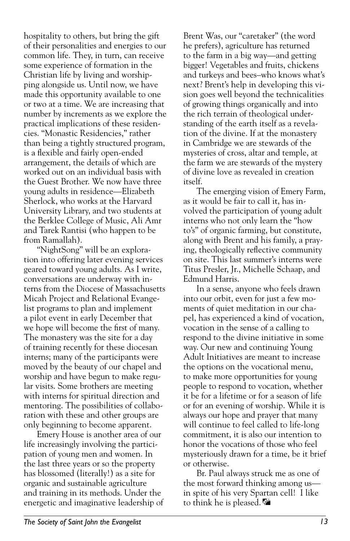hospitality to others, but bring the gift of their personalities and energies to our common life. They, in turn, can receive some experience of formation in the Christian life by living and worshipping alongside us. Until now, we have made this opportunity available to one or two at a time. We are increasing that number by increments as we explore the practical implications of these residencies. "Monastic Residencies," rather than being a tightly structured program, is a flexible and fairly open-ended arrangement, the details of which are worked out on an individual basis with the Guest Brother. We now have three young adults in residence—Elizabeth Sherlock, who works at the Harvard University Library, and two students at the Berklee College of Music, Ali Amr and Tarek Rantisi (who happen to be from Ramallah).

 "NightSong" will be an exploration into offering later evening services geared toward young adults. As I write, conversations are underway with interns from the Diocese of Massachusetts Micah Project and Relational Evangelist programs to plan and implement a pilot event in early December that we hope will become the first of many. The monastery was the site for a day of training recently for these diocesan interns; many of the participants were moved by the beauty of our chapel and worship and have begun to make regular visits. Some brothers are meeting with interns for spiritual direction and mentoring. The possibilities of collaboration with these and other groups are only beginning to become apparent.

 Emery House is another area of our life increasingly involving the participation of young men and women. In the last three years or so the property has blossomed (literally!) as a site for organic and sustainable agriculture and training in its methods. Under the energetic and imaginative leadership of Brent Was, our "caretaker" (the word he prefers), agriculture has returned to the farm in a big way—and getting bigger! Vegetables and fruits, chickens and turkeys and bees–who knows what's next? Brent's help in developing this vision goes well beyond the technicalities of growing things organically and into the rich terrain of theological understanding of the earth itself as a revelation of the divine. If at the monastery in Cambridge we are stewards of the mysteries of cross, altar and temple, at the farm we are stewards of the mystery of divine love as revealed in creation itself.

 The emerging vision of Emery Farm, as it would be fair to call it, has involved the participation of young adult interns who not only learn the "how to's" of organic farming, but constitute, along with Brent and his family, a praying, theologically reflective community on site. This last summer's interns were Titus Presler, Jr., Michelle Schaap, and Edmund Harris.

 In a sense, anyone who feels drawn into our orbit, even for just a few moments of quiet meditation in our chapel, has experienced a kind of vocation, vocation in the sense of a calling to respond to the divine initiative in some way. Our new and continuing Young Adult Initiatives are meant to increase the options on the vocational menu, to make more opportunities for young people to respond to vocation, whether it be for a lifetime or for a season of life or for an evening of worship. While it is always our hope and prayer that many will continue to feel called to life-long commitment, it is also our intention to honor the vocations of those who feel mysteriously drawn for a time, be it brief or otherwise.

 Br. Paul always struck me as one of the most forward thinking among us in spite of his very Spartan cell! I like to think he is pleased.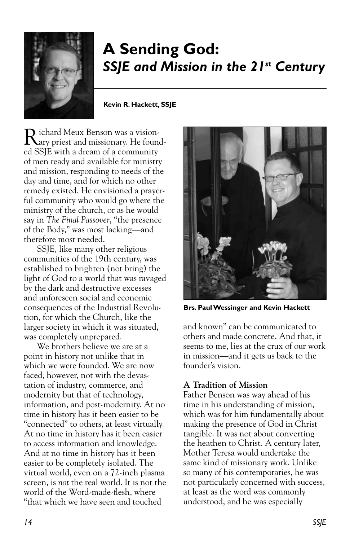

# **A Sending God:** *SSJE and Mission in the 21st Century*

#### **Kevin R. Hackett, SSJE**

Richard Meux Benson was a vision-ary priest and missionary. He founded SSJE with a dream of a community of men ready and available for ministry and mission, responding to needs of the day and time, and for which no other remedy existed. He envisioned a prayerful community who would go where the ministry of the church, or as he would say in *The Final Passover*, "the presence of the Body," was most lacking—and therefore most needed.

 SSJE, like many other religious communities of the 19th century, was established to brighten (not bring) the light of God to a world that was ravaged by the dark and destructive excesses and unforeseen social and economic consequences of the Industrial Revolution, for which the Church, like the larger society in which it was situated, was completely unprepared.

 We brothers believe we are at a point in history not unlike that in which we were founded. We are now faced, however, not with the devastation of industry, commerce, and modernity but that of technology, information, and post-modernity. At no time in history has it been easier to be "connected" to others, at least virtually. At no time in history has it been easier to access information and knowledge. And at no time in history has it been easier to be completely isolated. The virtual world, even on a 72-inch plasma screen, is *not* the real world. It is not the world of the Word-made-flesh, where "that which we have seen and touched



**Brs. Paul Wessinger and Kevin Hackett** 

and known" can be communicated to others and made concrete. And that, it seems to me, lies at the crux of our work in mission—and it gets us back to the founder's vision.

### **A Tradition of Mission**

Father Benson was way ahead of his time in his understanding of mission, which was for him fundamentally about making the presence of God in Christ tangible. It was not about converting the heathen to Christ. A century later, Mother Teresa would undertake the same kind of missionary work. Unlike so many of his contemporaries, he was not particularly concerned with success, at least as the word was commonly understood, and he was especially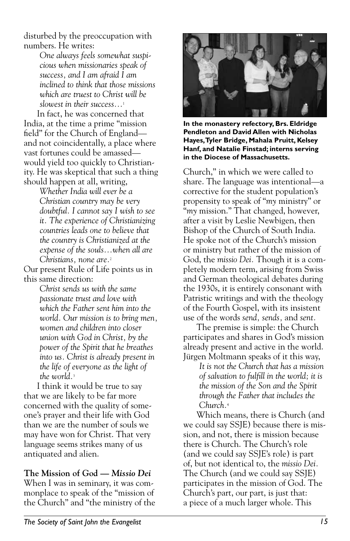disturbed by the preoccupation with numbers. He writes:

*One always feels somewhat suspicious when missionaries speak of success, and I am afraid I am inclined to think that those missions which are truest to Christ will be slowest in their success…*<sup>1</sup>

 In fact, he was concerned that India, at the time a prime "mission field" for the Church of England and not coincidentally, a place where vast fortunes could be amassed would yield too quickly to Christianity. He was skeptical that such a thing should happen at all, writing,

*Whether India will ever be a Christian country may be very doubtful. I cannot say I wish to see it. The experience of Christianizing countries leads one to believe that the country is Christianized at the expense of the souls…when all are Christians, none are.*<sup>2</sup>

Our present Rule of Life points us in this same direction:

> *Christ sends us with the same passionate trust and love with which the Father sent him into the world. Our mission is to bring men, women and children into closer union with God in Christ, by the power of the Spirit that he breathes into us. Christ is already present in the life of everyone as the light of the world.*<sup>3</sup>

 I think it would be true to say that we are likely to be far more concerned with the quality of someone's prayer and their life with God than we are the number of souls we may have won for Christ. That very language seems strikes many of us antiquated and alien.

### **The Mission of God —** *Missio Dei*

When I was in seminary, it was commonplace to speak of the "mission of the Church" and "the ministry of the



**In the monastery refectory, Brs. Eldridge Pendleton and David Allen with Nicholas Hayes, Tyler Bridge, Mahala Pruitt, Kelsey Hanf, and Natalie Finstad; interns serving in the Diocese of Massachusetts.**

Church," in which we were called to share. The language was intentional—a corrective for the student population's propensity to speak of "*my* ministry" or "*my* mission." That changed, however, after a visit by Leslie Newbigen, then Bishop of the Church of South India. He spoke not of the Church's mission or ministry but rather of the mission of God, the *missio Dei.* Though it is a completely modern term, arising from Swiss and German theological debates during the 1930s, it is entirely consonant with Patristic writings and with the theology of the Fourth Gospel, with its insistent use of the words *send, sends,* and *sent.* 

 The premise is simple: the Church participates and shares in God's mission already present and active in the world. Jürgen Moltmann speaks of it this way,

> *It is not the Church that has a mission of salvation to fulfill in the world; it is the mission of the Son and the Spirit through the Father that includes the Church.*<sup>4</sup>

 Which means, there is Church (and we could say SSJE) because there is mission, and not, there is mission because there is Church. The Church's role (and we could say SSJE's role) is part of, but not identical to, the *missio Dei.*  The Church (and we could say SSJE) participates in the mission of God. The Church's part, our part, is just that: a piece of a much larger whole. This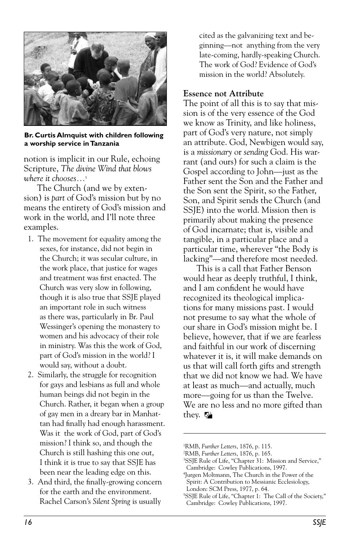

**Br. Curtis Almquist with children following a worship service in Tanzania**

notion is implicit in our Rule, echoing Scripture, *The divine Wind that blows where it chooses…*<sup>5</sup>

 The Church (and we by extension) is *part* of God's mission but by no means the entirety of God's mission and work in the world, and I'll note three examples.

- 1. The movement for equality among the sexes, for instance, did not begin in the Church; it was secular culture, in the work place, that justice for wages and treatment was first enacted. The Church was very slow in following, though it is also true that SSJE played an important role in such witness as there was, particularly in Br. Paul Wessinger's opening the monastery to women and his advocacy of their role in ministry. Was this the work of God, part of God's mission in the world? I would say, without a doubt.
- 2. Similarly, the struggle for recognition for gays and lesbians as full and whole human beings did not begin in the Church. Rather, it began when a group of gay men in a dreary bar in Manhattan had finally had enough harassment. Was it the work of God, part of God's mission? I think so, and though the Church is still hashing this one out, I think it is true to say that SSJE has been near the leading edge on this.
- 3. And third, the finally-growing concern for the earth and the environment. Rachel Carson's *Silent Spring* is usually

cited as the galvanizing text and beginning—not anything from the very late-coming, hardly-speaking Church. The work of God? Evidence of God's mission in the world? Absolutely.

#### **Essence not Attribute**

The point of all this is to say that mission is of the very essence of the God we know as Trinity, and like holiness, part of God's very nature, not simply an attribute. God, Newbigen would say, is a *missionary* or *sending* God. His warrant (and ours) for such a claim is the Gospel according to John—just as the Father sent the Son and the Father and the Son sent the Spirit, so the Father, Son, and Spirit sends the Church (and SSJE) into the world. Mission then is primarily about making the presence of God incarnate; that is, visible and tangible, in a particular place and a particular time, wherever "the Body is lacking"—and therefore most needed.

 This is a call that Father Benson would hear as deeply truthful, I think, and I am confident he would have recognized its theological implications for many missions past. I would not presume to say what the whole of our share in God's mission might be. I believe, however, that if we are fearless and faithful in our work of discerning whatever it is, it will make demands on us that will call forth gifts and strength that we did not know we had. We have at least as much—and actually, much more—going for us than the Twelve. We are no less and no more gifted than they.

<sup>1</sup> RMB, *Further Letters*, 1876, p. 115. 2

RMB, *Further Letters*, 1876, p. 165.

<sup>3</sup> SSJE Rule of Life, "Chapter 31: Mission and Service," Cambridge: Cowley Publications, 1997.

<sup>4</sup> Jurgen Moltmann, The Church in the Power of the Spirit: A Contribution to Messianic Ecclesiology, London: SCM Press, 1977, p. 64.

<sup>5</sup> SSJE Rule of Life, "Chapter 1: The Call of the Society," Cambridge: Cowley Publications, 1997.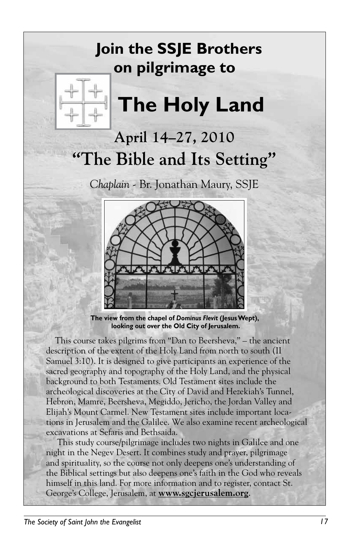# **Join the SSJE Brothers on pilgrimage to**



# **The Holy Land**

# **April 14–27, 2010 "The Bible and Its Setting"**

*Chaplain* - Br. Jonathan Maury, SSJE



**The view from the chapel of** *Dominus Flevit* **(Jesus Wept), looking out over the Old City of Jerusalem.**

 This course takes pilgrims from "Dan to Beersheva," – the ancient description of the extent of the Holy Land from north to south (II Samuel 3:10). It is designed to give participants an experience of the sacred geography and topography of the Holy Land, and the physical background to both Testaments. Old Testament sites include the archeological discoveries at the City of David and Hezekiah's Tunnel, Hebron, Mamre, Beersheva, Megiddo, Jericho, the Jordan Valley and Elijah's Mount Carmel. New Testament sites include important locations in Jerusalem and the Galilee. We also examine recent archeological excavations at Sefaris and Bethsaida.

 This study course/pilgrimage includes two nights in Galilee and one night in the Negev Desert. It combines study and prayer, pilgrimage and spirituality, so the course not only deepens one's understanding of the Biblical settings but also deepens one's faith in the God who reveals himself in this land. For more information and to register, contact St. George's College, Jerusalem, at **www.sgcjerusalem.org**.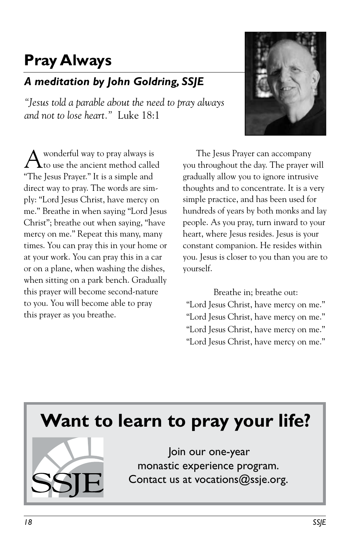# **Pray Always**

### *A meditation by John Goldring, SSJE*

*"Jesus told a parable about the need to pray always and not to lose heart."* Luke 18:1



 $A$  wonderful way to pray always is  $A$ "The Jesus Prayer." It is a simple and direct way to pray. The words are simply: "Lord Jesus Christ, have mercy on me." Breathe in when saying "Lord Jesus Christ"; breathe out when saying, "have mercy on me." Repeat this many, many times. You can pray this in your home or at your work. You can pray this in a car or on a plane, when washing the dishes, when sitting on a park bench. Gradually this prayer will become second-nature to you. You will become able to pray this prayer as you breathe.

 The Jesus Prayer can accompany you throughout the day. The prayer will gradually allow you to ignore intrusive thoughts and to concentrate. It is a very simple practice, and has been used for hundreds of years by both monks and lay people. As you pray, turn inward to your heart, where Jesus resides. Jesus is your constant companion. He resides within you. Jesus is closer to you than you are to yourself.

Breathe in; breathe out: "Lord Jesus Christ, have mercy on me." "Lord Jesus Christ, have mercy on me." "Lord Jesus Christ, have mercy on me." "Lord Jesus Christ, have mercy on me."

# **Want to learn to pray your life?**



Join our one-year monastic experience program. Contact us at vocations@ssje.org.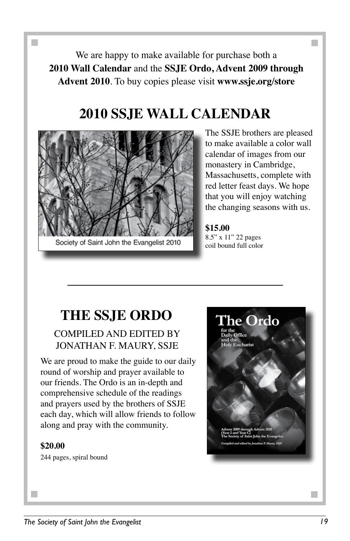We are happy to make available for purchase both a **2010 Wall Calendar** and the **SSJE Ordo, Advent 2009 through Advent 2010**. To buy copies please visit **www.ssje.org/store**

### **2010 SSJE wall calendar**



The SSJE brothers are pleased to make available a color wall calendar of images from our monastery in Cambridge, Massachusetts, complete with red letter feast days. We hope that you will enjoy watching the changing seasons with us.

**\$15.00** 8.5" x 11" 22 pages coil bound full color

### **The SSJE Ordo**

### compiled and edited by Jonathan F. Maury, SSJE

We are proud to make the guide to our daily round of worship and prayer available to our friends. The Ordo is an in-depth and comprehensive schedule of the readings and prayers used by the brothers of SSJE each day, which will allow friends to follow along and pray with the community.

#### **\$20.00**

244 pages, spiral bound

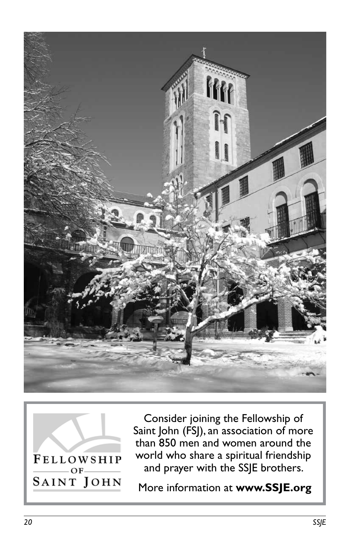



Consider joining the Fellowship of Saint John (FSJ), an association of more than 850 men and women around the world who share a spiritual friendship and prayer with the SSJE brothers.

More information at **www.SSJE.org**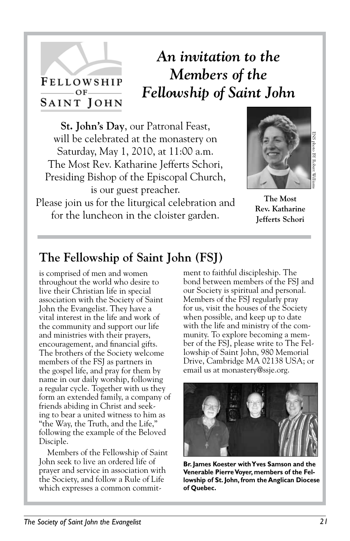# *An invitation to the Members of the Fellowship of Saint John*

**St. John's Day**, our Patronal Feast, will be celebrated at the monastery on Saturday, May 1, 2010, at 11:00 a.m. The Most Rev. Katharine Jefferts Schori, Presiding Bishop of the Episcopal Church, is our guest preacher. Please join us for the liturgical celebration and for the luncheon in the cloister garden.

FELLOWSHIP  $-OF -$ SAINT JOHN



**The Most Rev. Katharine Jefferts Schori** 

### **The Fellowship of Saint John (FSJ)**

is comprised of men and women throughout the world who desire to live their Christian life in special association with the Society of Saint John the Evangelist. They have a vital interest in the life and work of the community and support our life and ministries with their prayers, encouragement, and financial gifts. The brothers of the Society welcome members of the FSJ as partners in the gospel life, and pray for them by name in our daily worship, following a regular cycle. Together with us they form an extended family, a company of friends abiding in Christ and seeking to bear a united witness to him as "the Way, the Truth, and the Life," following the example of the Beloved Disciple.

 Members of the Fellowship of Saint John seek to live an ordered life of prayer and service in association with the Society, and follow a Rule of Life which expresses a common commitment to faithful discipleship. The bond between members of the FSJ and our Society is spiritual and personal. Members of the FSJ regularly pray for us, visit the houses of the Society when possible, and keep up to date with the life and ministry of the community. To explore becoming a member of the FSJ, please write to The Fellowship of Saint John, 980 Memorial Drive, Cambridge MA 02138 USA; or email us at monastery@ssje.org.



**Br. James Koester with Yves Samson and the Venerable Pierre Voyer, members of the Fellowship of St. John, from the Anglican Diocese of Quebec.**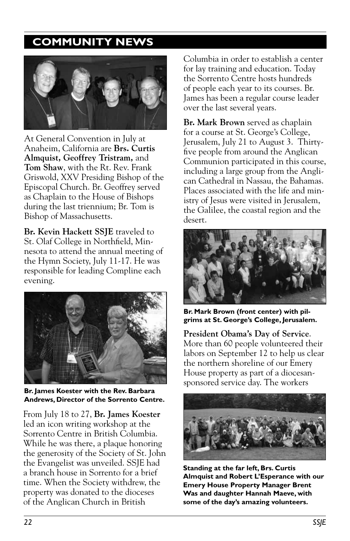### **COMMUNITY NEWS**



At General Convention in July at Anaheim, California are **Brs. Curtis Almquist, Geoffrey Tristram,** and **Tom Shaw**, with the Rt. Rev. Frank Griswold, XXV Presiding Bishop of the Episcopal Church. Br. Geoffrey served as Chaplain to the House of Bishops during the last triennium; Br. Tom is Bishop of Massachusetts.

**Br. Kevin Hackett SSJE** traveled to St. Olaf College in Northfield, Minnesota to attend the annual meeting of the Hymn Society, July 11-17. He was responsible for leading Compline each evening.



**Br. James Koester with the Rev. Barbara Andrews, Director of the Sorrento Centre.** 

From July 18 to 27, **Br. James Koester** led an icon writing workshop at the Sorrento Centre in British Columbia. While he was there, a plaque honoring the generosity of the Society of St. John the Evangelist was unveiled. SSJE had a branch house in Sorrento for a brief time. When the Society withdrew, the property was donated to the dioceses of the Anglican Church in British

Columbia in order to establish a center for lay training and education. Today the Sorrento Centre hosts hundreds of people each year to its courses. Br. James has been a regular course leader over the last several years.

**Br. Mark Brown** served as chaplain for a course at St. George's College, Jerusalem, July 21 to August 3. Thirtyfive people from around the Anglican Communion participated in this course, including a large group from the Anglican Cathedral in Nassau, the Bahamas. Places associated with the life and ministry of Jesus were visited in Jerusalem, the Galilee, the coastal region and the desert.



**Br. Mark Brown (front center) with pilgrims at St. George's College, Jerusalem.**

**President Obama's Day of Service**. More than 60 people volunteered their labors on September 12 to help us clear the northern shoreline of our Emery House property as part of a diocesansponsored service day. The workers



**Standing at the far left, Brs. Curtis Almquist and Robert L'Esperance with our Emery House Property Manager Brent Was and daughter Hannah Maeve, with some of the day's amazing volunteers.**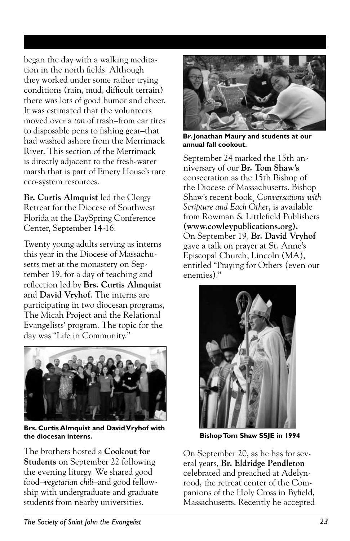began the day with a walking meditation in the north fields. Although they worked under some rather trying conditions (rain, mud, difficult terrain) there was lots of good humor and cheer. It was estimated that the volunteers moved over a *ton* of trash–from car tires to disposable pens to fishing gear–that had washed ashore from the Merrimack River. This section of the Merrimack is directly adjacent to the fresh-water marsh that is part of Emery House's rare eco-system resources.

**Br. Curtis Almquist** led the Clergy Retreat for the Diocese of Southwest Florida at the DaySpring Conference Center, September 14-16.

Twenty young adults serving as interns this year in the Diocese of Massachusetts met at the monastery on September 19, for a day of teaching and reflection led by **Brs. Curtis Almquist**  and **David Vryhof**. The interns are participating in two diocesan programs, The Micah Project and the Relational Evangelists' program. The topic for the day was "Life in Community."



**Brs. Curtis Almquist and David Vryhof with the diocesan interns.**

The brothers hosted a **Cookout for Students** on September 22 following the evening liturgy. We shared good food–*vegetarian chili*–and good fellowship with undergraduate and graduate students from nearby universities.



**Br. Jonathan Maury and students at our annual fall cookout.**

September 24 marked the 15th anniversary of our **Br. Tom Shaw's** consecration as the 15th Bishop of the Diocese of Massachusetts. Bishop Shaw's recent book¸ *Conversations with Scripture and Each Other*, is available from Rowman & Littlefield Publishers **(www.cowleypublications.org).**  On September 19, **Br. David Vryhof**  gave a talk on prayer at St. Anne's Episcopal Church, Lincoln (MA), entitled "Praying for Others (even our enemies)."



**Bishop Tom Shaw SSJE in 1994**

On September 20, as he has for several years, **Br. Eldridge Pendleton** celebrated and preached at Adelynrood, the retreat center of the Companions of the Holy Cross in Byfield, Massachusetts. Recently he accepted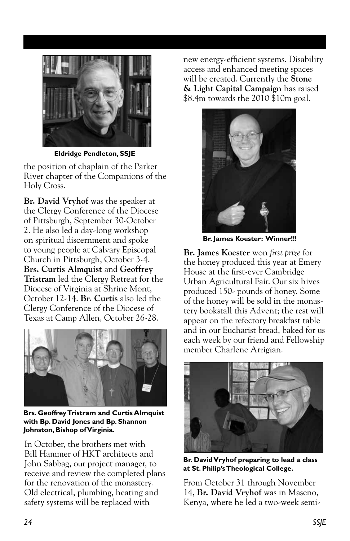

**Eldridge Pendleton, SSJE**

the position of chaplain of the Parker River chapter of the Companions of the Holy Cross.

**Br. David Vryhof** was the speaker at the Clergy Conference of the Diocese of Pittsburgh, September 30-October 2. He also led a day-long workshop on spiritual discernment and spoke to young people at Calvary Episcopal Church in Pittsburgh, October 3-4. **Brs. Curtis Almquist** and **Geoffrey Tristram** led the Clergy Retreat for the Diocese of Virginia at Shrine Mont, October 12-14. **Br. Curtis** also led the Clergy Conference of the Diocese of Texas at Camp Allen, October 26-28.



**Brs. Geoffrey Tristram and Curtis Almquist with Bp. David Jones and Bp. Shannon Johnston, Bishop of Virginia.**

In October, the brothers met with Bill Hammer of HKT architects and John Sabbag, our project manager, to receive and review the completed plans for the renovation of the monastery. Old electrical, plumbing, heating and safety systems will be replaced with

new energy-efficient systems. Disability access and enhanced meeting spaces will be created. Currently the **Stone & Light Capital Campaign** has raised \$8.4m towards the 2010 \$10m goal.



**Br. James Koester: Winner!!!**

**Br. James Koester** won *first prize* for the honey produced this year at Emery House at the first-ever Cambridge Urban Agricultural Fair. Our six hives produced 150- pounds of honey. Some of the honey will be sold in the monastery bookstall this Advent; the rest will appear on the refectory breakfast table and in our Eucharist bread, baked for us each week by our friend and Fellowship member Charlene Arzigian.



**Br. David Vryhof preparing to lead a class at St. Philip's Theological College.**

From October 31 through November 14, **Br. David Vryhof** was in Maseno, Kenya, where he led a two-week semi-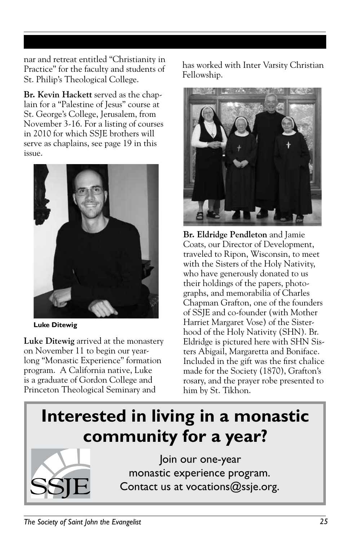nar and retreat entitled "Christianity in Practice" for the faculty and students of St. Philip's Theological College.

**Br. Kevin Hackett** served as the chaplain for a "Palestine of Jesus" course at St. George's College, Jerusalem, from November 3-16. For a listing of courses in 2010 for which SSJE brothers will serve as chaplains, see page 19 in this issue.



**Luke Ditewig**

**Luke Ditewig** arrived at the monastery on November 11 to begin our yearlong "Monastic Experience" formation program. A California native, Luke is a graduate of Gordon College and Princeton Theological Seminary and

has worked with Inter Varsity Christian Fellowship.



**Br. Eldridge Pendleton** and Jamie Coats, our Director of Development, traveled to Ripon, Wisconsin, to meet with the Sisters of the Holy Nativity, who have generously donated to us their holdings of the papers, photographs, and memorabilia of Charles Chapman Grafton, one of the founders of SSJE and co-founder (with Mother Harriet Margaret Vose) of the Sisterhood of the Holy Nativity (SHN). Br. Eldridge is pictured here with SHN Sisters Abigail, Margaretta and Boniface. Included in the gift was the first chalice made for the Society (1870), Grafton's rosary, and the prayer robe presented to him by St. Tikhon.

# **Interested in living in a monastic community for a year?**



Join our one-year monastic experience program. Contact us at vocations@ssje.org.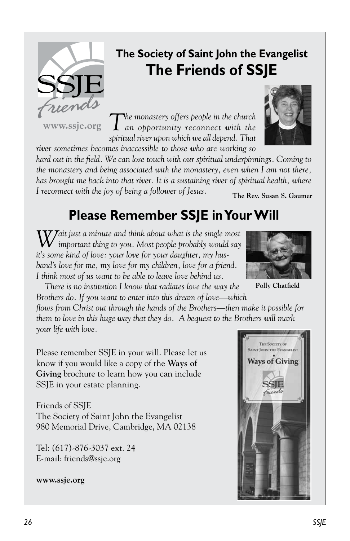

### **The Society of Saint John the Evangelist The Friends of SSJE**

*The monastery offers people in the church an opportunity reconnect with the spiritual river upon which we all depend. That river sometimes becomes inaccessible to those who are working so* 

*hard out in the field. We can lose touch with our spiritual underpinnings. Coming to the monastery and being associated with the monastery, even when I am not there, has brought me back into that river. It is a sustaining river of spiritual health, where I reconnect with the joy of being a follower of Jesus.* **The Rev. Susan S. Gaumer**

### **Please Remember SSJE in Your Will**

 $\left(VJ\right)$ ait just a minute and think about what is the single most *important thing to you. Most people probably would say it's some kind of love: your love for your daughter, my husband's love for me, my love for my children, love for a friend. I think most of us want to be able to leave love behind us.* 

 *There is no institution I know that radiates love the way the Brothers do. If you want to enter into this dream of love—which* 

*flows from Christ out through the hands of the Brothers—then make it possible for them to love in this huge way that they do. A bequest to the Brothers will mark your life with love.*

Please remember SSJE in your will. Please let us know if you would like a copy of the **Ways of Giving** brochure to learn how you can include SSJE in your estate planning.

Friends of SSJE The Society of Saint John the Evangelist 980 Memorial Drive, Cambridge, MA 02138

Tel: (617)-876-3037 ext. 24 E-mail: friends@ssje.org

**www.ssje.org**

Friends

#### **www.ssje.org**

#### **Polly Chatfield**





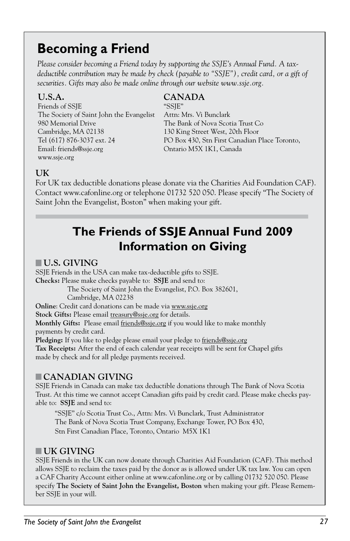### **Becoming a Friend**

*Please consider becoming a Friend today by supporting the SSJE's Annual Fund. A taxdeductible contribution may be made by check (payable to "SSJE"), credit card, or a gift of securities. Gifts may also be made online through our website www.ssje.org.*

### **U.S.A.**

Friends of SSJE The Society of Saint John the Evangelist 980 Memorial Drive Cambridge, MA 02138 Tel (617) 876-3037 ext. 24 Email: friends@ssje.org www.ssje.org

#### **CANADA**

"SSJE" Attn: Mrs. Vi Bunclark The Bank of Nova Scotia Trust Co 130 King Street West, 20th Floor PO Box 430, Stn First Canadian Place Toronto, Ontario M5X 1K1, Canada

### **UK**

For UK tax deductible donations please donate via the Charities Aid Foundation CAF). Contact www.cafonline.org or telephone 01732 520 050. Please specify "The Society of Saint John the Evangelist, Boston" when making your gift.

### **The Friends of SSJE Annual Fund 2009 Information on Giving**

### **U.S. Giving**

SSJE Friends in the USA can make tax-deductible gifts to SSJE. **Checks:** Please make checks payable to: **SSJE** and send to: The Society of Saint John the Evangelist, P.O. Box 382601, Cambridge, MA 02238 **Online**: Credit card donations can be made via www.ssje.org Stock Gifts: Please email treasury@ssje.org for details.

**Monthly Gifts:** Please email friends@ssje.org if you would like to make monthly payments by credit card.

Pledging: If you like to pledge please email your pledge to friends@ssje.org

**Tax Receipts:** After the end of each calendar year receipts will be sent for Chapel gifts made by check and for all pledge payments received.

### **Canadian Giving**

SSJE Friends in Canada can make tax deductible donations through The Bank of Nova Scotia Trust. At this time we cannot accept Canadian gifts paid by credit card. Please make checks payable to: **SSJE** and send to:

 "SSJE" c/o Scotia Trust Co., Attn: Mrs. Vi Bunclark, Trust Administrator The Bank of Nova Scotia Trust Company, Exchange Tower, PO Box 430, Stn First Canadian Place, Toronto, Ontario M5X 1K1

### **UK Giving**

SSJE Friends in the UK can now donate through Charities Aid Foundation (CAF). This method allows SSJE to reclaim the taxes paid by the donor as is allowed under UK tax law. You can open a CAF Charity Account either online at www.cafonline.org or by calling 01732 520 050. Please specify **The Society of Saint John the Evangelist, Boston** when making your gift. Please Remember SSJE in your will.